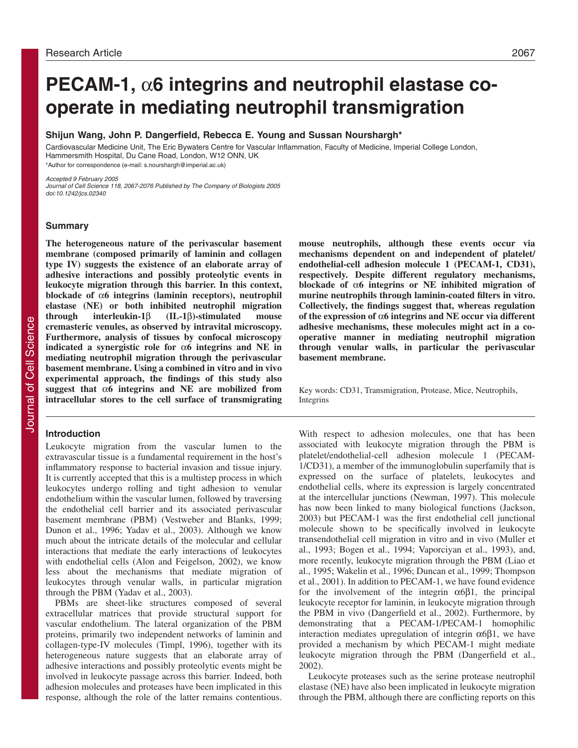# **PECAM-1,** α**6 integrins and neutrophil elastase cooperate in mediating neutrophil transmigration**

**Shijun Wang, John P. Dangerfield, Rebecca E. Young and Sussan Nourshargh\***

Cardiovascular Medicine Unit, The Eric Bywaters Centre for Vascular Inflammation, Faculty of Medicine, Imperial College London, Hammersmith Hospital, Du Cane Road, London, W12 ONN, UK \*Author for correspondence (e-mail: s.nourshargh@imperial.ac.uk)

Accepted 9 February 2005

Journal of Cell Science 118, 2067-2076 Published by The Company of Biologists 2005 doi:10.1242/jcs.02340

#### **Summary**

**The heterogeneous nature of the perivascular basement membrane (composed primarily of laminin and collagen type IV) suggests the existence of an elaborate array of adhesive interactions and possibly proteolytic events in leukocyte migration through this barrier. In this context, blockade of** α**6 integrins (laminin receptors), neutrophil elastase (NE) or both inhibited neutrophil migration through interleukin-1**β **(IL-1**β**)-stimulated mouse cremasteric venules, as observed by intravital microscopy. Furthermore, analysis of tissues by confocal microscopy indicated a synergistic role for** α**6 integrins and NE in mediating neutrophil migration through the perivascular basement membrane. Using a combined in vitro and in vivo experimental approach, the findings of this study also suggest that** α**6 integrins and NE are mobilized from intracellular stores to the cell surface of transmigrating**

#### **Introduction**

Leukocyte migration from the vascular lumen to the extravascular tissue is a fundamental requirement in the host's inflammatory response to bacterial invasion and tissue injury. It is currently accepted that this is a multistep process in which leukocytes undergo rolling and tight adhesion to venular endothelium within the vascular lumen, followed by traversing the endothelial cell barrier and its associated perivascular basement membrane (PBM) (Vestweber and Blanks, 1999; Dunon et al., 1996; Yadav et al., 2003). Although we know much about the intricate details of the molecular and cellular interactions that mediate the early interactions of leukocytes with endothelial cells (Alon and Feigelson, 2002), we know less about the mechanisms that mediate migration of leukocytes through venular walls, in particular migration through the PBM (Yadav et al., 2003).

PBMs are sheet-like structures composed of several extracellular matrices that provide structural support for vascular endothelium. The lateral organization of the PBM proteins, primarily two independent networks of laminin and collagen-type-IV molecules (Timpl, 1996), together with its heterogeneous nature suggests that an elaborate array of adhesive interactions and possibly proteolytic events might be involved in leukocyte passage across this barrier. Indeed, both adhesion molecules and proteases have been implicated in this response, although the role of the latter remains contentious.

**mouse neutrophils, although these events occur via mechanisms dependent on and independent of platelet/ endothelial-cell adhesion molecule 1 (PECAM-1, CD31), respectively. Despite different regulatory mechanisms, blockade of** α**6 integrins or NE inhibited migration of murine neutrophils through laminin-coated filters in vitro. Collectively, the findings suggest that, whereas regulation of the expression of** α**6 integrins and NE occur via different adhesive mechanisms, these molecules might act in a cooperative manner in mediating neutrophil migration through venular walls, in particular the perivascular basement membrane.**

Key words: CD31, Transmigration, Protease, Mice, Neutrophils, Integrins

With respect to adhesion molecules, one that has been associated with leukocyte migration through the PBM is platelet/endothelial-cell adhesion molecule 1 (PECAM-1/CD31), a member of the immunoglobulin superfamily that is expressed on the surface of platelets, leukocytes and endothelial cells, where its expression is largely concentrated at the intercellular junctions (Newman, 1997). This molecule has now been linked to many biological functions (Jackson, 2003) but PECAM-1 was the first endothelial cell junctional molecule shown to be specifically involved in leukocyte transendothelial cell migration in vitro and in vivo (Muller et al., 1993; Bogen et al., 1994; Vaporciyan et al., 1993), and, more recently, leukocyte migration through the PBM (Liao et al., 1995; Wakelin et al., 1996; Duncan et al., 1999; Thompson et al., 2001). In addition to PECAM-1, we have found evidence for the involvement of the integrin  $\alpha 6\beta 1$ , the principal leukocyte receptor for laminin, in leukocyte migration through the PBM in vivo (Dangerfield et al., 2002). Furthermore, by demonstrating that a PECAM-1/PECAM-1 homophilic interaction mediates upregulation of integrin  $\alpha$ 6 $\beta$ 1, we have provided a mechanism by which PECAM-1 might mediate leukocyte migration through the PBM (Dangerfield et al., 2002).

Leukocyte proteases such as the serine protease neutrophil elastase (NE) have also been implicated in leukocyte migration through the PBM, although there are conflicting reports on this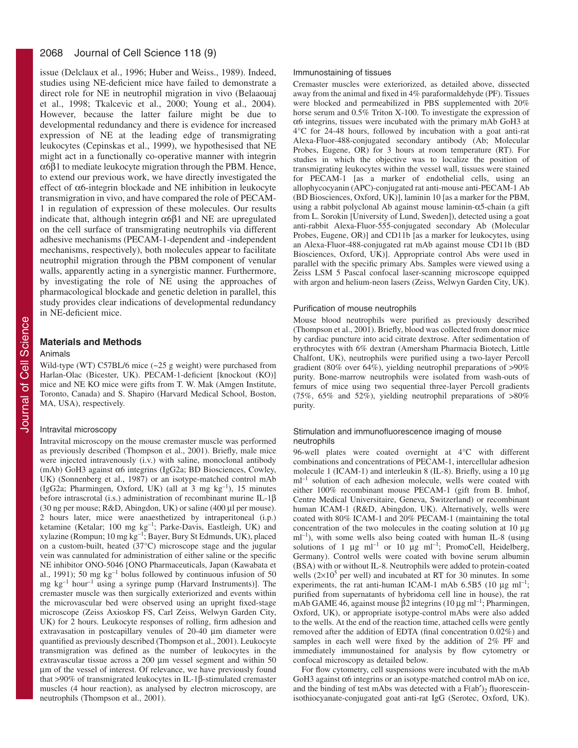#### 2068 Journal of Cell Science 118 (9)

issue (Delclaux et al., 1996; Huber and Weiss., 1989). Indeed, studies using NE-deficient mice have failed to demonstrate a direct role for NE in neutrophil migration in vivo (Belaaouaj et al., 1998; Tkalcevic et al., 2000; Young et al., 2004). However, because the latter failure might be due to developmental redundancy and there is evidence for increased expression of NE at the leading edge of transmigrating leukocytes (Cepinskas et al., 1999), we hypothesised that NE might act in a functionally co-operative manner with integrin α6β1 to mediate leukocyte migration through the PBM. Hence, to extend our previous work, we have directly investigated the effect of α6-integrin blockade and NE inhibition in leukocyte transmigration in vivo, and have compared the role of PECAM-1 in regulation of expression of these molecules. Our results indicate that, although integrin  $\alpha$ 6 $\beta$ 1 and NE are upregulated on the cell surface of transmigrating neutrophils via different adhesive mechanisms (PECAM-1-dependent and -independent mechanisms, respectively), both molecules appear to facilitate neutrophil migration through the PBM component of venular walls, apparently acting in a synergistic manner. Furthermore, by investigating the role of NE using the approaches of pharmacological blockade and genetic deletion in parallel, this study provides clear indications of developmental redundancy in NE-deficient mice.

# **Materials and Methods**

#### Animals

Wild-type (WT) C57BL/6 mice (~25 g weight) were purchased from Harlan-Olac (Bicester, UK). PECAM-1-deficient [knockout (KO)] mice and NE KO mice were gifts from T. W. Mak (Amgen Institute, Toronto, Canada) and S. Shapiro (Harvard Medical School, Boston, MA, USA), respectively.

#### Intravital microscopy

Intravital microscopy on the mouse cremaster muscle was performed as previously described (Thompson et al., 2001). Briefly, male mice were injected intravenously (i.v.) with saline, monoclonal antibody (mAb) GoH3 against α6 integrins (IgG2a; BD Biosciences, Cowley, UK) (Sonnenberg et al., 1987) or an isotype-matched control mAb (IgG2a; Pharmingen, Oxford, UK) (all at 3 mg  $kg^{-1}$ ), 15 minutes before intrascrotal (i.s.) administration of recombinant murine IL-1β (30 ng per mouse; R&D, Abingdon, UK) or saline (400 µl per mouse). 2 hours later, mice were anaesthetized by intraperitoneal (i.p.) ketamine (Ketalar; 100 mg kg<sup>-1</sup>; Parke-Davis, Eastleigh, UK) and xylazine (Rompun; 10 mg kg–1; Bayer, Bury St Edmunds, UK), placed on a custom-built, heated (37°C) microscope stage and the jugular vein was cannulated for administration of either saline or the specific NE inhibitor ONO-5046 [ONO Pharmaceuticals, Japan (Kawabata et al., 1991); 50 mg  $kg^{-1}$  bolus followed by continuous infusion of 50 mg  $kg^{-1}$  hour<sup>-1</sup> using a syringe pump (Harvard Instruments)]. The cremaster muscle was then surgically exteriorized and events within the microvascular bed were observed using an upright fixed-stage microscope (Zeiss Axioskop FS, Carl Zeiss, Welwyn Garden City, UK) for 2 hours. Leukocyte responses of rolling, firm adhesion and extravasation in postcapillary venules of 20-40 µm diameter were quantified as previously described (Thompson et al., 2001). Leukocyte transmigration was defined as the number of leukocytes in the extravascular tissue across a 200 µm vessel segment and within 50 µm of the vessel of interest. Of relevance, we have previously found that >90% of transmigrated leukocytes in IL-1β-stimulated cremaster muscles (4 hour reaction), as analysed by electron microscopy, are neutrophils (Thompson et al., 2001).

#### Immunostaining of tissues

Cremaster muscles were exteriorized, as detailed above, dissected away from the animal and fixed in 4% paraformaldehyde (PF). Tissues were blocked and permeabilized in PBS supplemented with 20% horse serum and 0.5% Triton X-100. To investigate the expression of α6 integrins, tissues were incubated with the primary mAb GoH3 at 4°C for 24-48 hours, followed by incubation with a goat anti-rat Alexa-Fluor-488-conjugated secondary antibody (Ab; Molecular Probes, Eugene, OR) for 3 hours at room temperature (RT). For studies in which the objective was to localize the position of transmigrating leukocytes within the vessel wall, tissues were stained for PECAM-1 [as a marker of endothelial cells, using an allophycocyanin (APC)-conjugated rat anti-mouse anti-PECAM-1 Ab (BD Biosciences, Oxford, UK)], laminin 10 [as a marker for the PBM, using a rabbit polyclonal Ab against mouse laminin-α5-chain (a gift from L. Sorokin [University of Lund, Sweden]), detected using a goat anti-rabbit Alexa-Fluor-555-conjugated secondary Ab (Molecular Probes, Eugene, OR)] and CD11b [as a marker for leukocytes, using an Alexa-Fluor-488-conjugated rat mAb against mouse CD11b (BD Biosciences, Oxford, UK)]. Appropriate control Abs were used in parallel with the specific primary Abs. Samples were viewed using a Zeiss LSM 5 Pascal confocal laser-scanning microscope equipped with argon and helium-neon lasers (Zeiss, Welwyn Garden City, UK).

#### Purification of mouse neutrophils

Mouse blood neutrophils were purified as previously described (Thompson et al., 2001). Briefly, blood was collected from donor mice by cardiac puncture into acid citrate dextrose. After sedimentation of erythrocytes with 6% dextran (Amersham Pharmacia Biotech, Little Chalfont, UK), neutrophils were purified using a two-layer Percoll gradient (80% over 64%), yielding neutrophil preparations of >90% purity. Bone-marrow neutrophils were isolated from wash-outs of femurs of mice using two sequential three-layer Percoll gradients (75%, 65% and 52%), yielding neutrophil preparations of >80% purity.

## Stimulation and immunofluorescence imaging of mouse neutrophils

96-well plates were coated overnight at 4°C with different combinations and concentrations of PECAM-1, intercellular adhesion molecule 1 (ICAM-1) and interleukin 8 (IL-8). Briefly, using a 10 µg  $ml<sup>-1</sup>$  solution of each adhesion molecule, wells were coated with either 100% recombinant mouse PECAM-1 (gift from B. Imhof, Centre Medical Universitaire, Geneva, Switzerland) or recombinant human ICAM-1 (R&D, Abingdon, UK). Alternatively, wells were coated with 80% ICAM-1 and 20% PECAM-1 (maintaining the total concentration of the two molecules in the coating solution at 10 µg  $ml^{-1}$ ), with some wells also being coated with human IL-8 (using solutions of 1  $\mu$ g ml<sup>-1</sup> or 10  $\mu$ g ml<sup>-1</sup>; PromoCell, Heidelberg, Germany). Control wells were coated with bovine serum albumin (BSA) with or without IL-8. Neutrophils were added to protein-coated wells  $(2\times10^5$  per well) and incubated at RT for 30 minutes. In some experiments, the rat anti-human ICAM-1 mAb 6.5B5 (10  $\mu$ g ml<sup>-1</sup>; purified from supernatants of hybridoma cell line in house), the rat mAb GAME 46, against mouse β2 integrins (10  $\mu$ g ml<sup>-1</sup>; Pharmingen, Oxford, UK), or appropriate isotype-control mAbs were also added to the wells. At the end of the reaction time, attached cells were gently removed after the addition of EDTA (final concentration 0.02%) and samples in each well were fixed by the addition of 2% PF and immediately immunostained for analysis by flow cytometry or confocal microscopy as detailed below.

For flow cytometry, cell suspensions were incubated with the mAb GoH3 against  $\alpha$ 6 integrins or an isotype-matched control mAb on ice, and the binding of test mAbs was detected with a  $F(ab')_2$  fluoresceinisothiocyanate-conjugated goat anti-rat IgG (Serotec, Oxford, UK).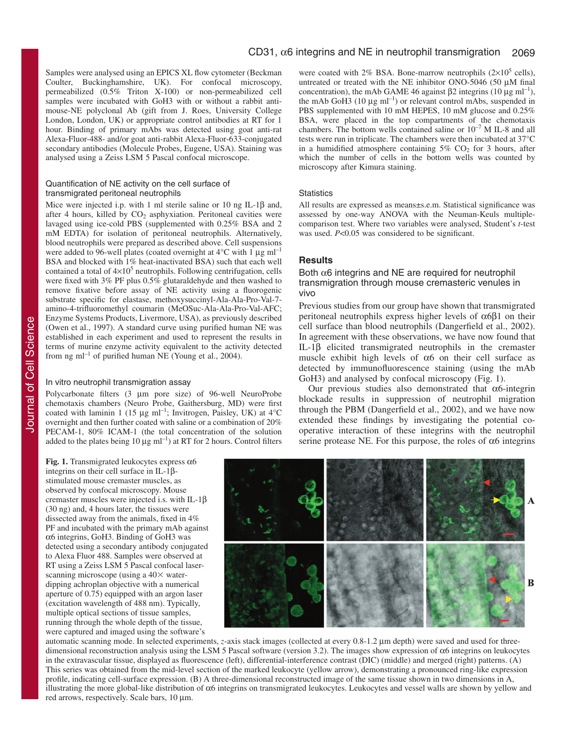Samples were analysed using an EPICS XL flow cytometer (Beckman Coulter, Buckinghamshire, UK). For confocal microscopy, permeabilized (0.5% Triton X-100) or non-permeabilized cell samples were incubated with GoH3 with or without a rabbit antimouse-NE polyclonal Ab (gift from J. Roes, University College London, London, UK) or appropriate control antibodies at RT for 1 hour. Binding of primary mAbs was detected using goat anti-rat Alexa-Fluor-488- and/or goat anti-rabbit Alexa-Fluor-633-conjugated secondary antibodies (Molecule Probes, Eugene, USA). Staining was analysed using a Zeiss LSM 5 Pascal confocal microscope.

#### Quantification of NE activity on the cell surface of transmigrated peritoneal neutrophils

Mice were injected i.p. with 1 ml sterile saline or 10 ng IL-1β and, after 4 hours, killed by  $CO<sub>2</sub>$  asphyxiation. Peritoneal cavities were lavaged using ice-cold PBS (supplemented with 0.25% BSA and 2 mM EDTA) for isolation of peritoneal neutrophils. Alternatively, blood neutrophils were prepared as described above. Cell suspensions were added to 96-well plates (coated overnight at  $4^{\circ}$ C with 1 µg ml<sup>-1</sup> BSA and blocked with 1% heat-inactivated BSA) such that each well contained a total of  $4\times10^5$  neutrophils. Following centrifugation, cells were fixed with 3% PF plus 0.5% glutaraldehyde and then washed to remove fixative before assay of NE activity using a fluorogenic substrate specific for elastase, methoxysuccinyl-Ala-Ala-Pro-Val-7 amino-4-trifluoromethyl coumarin (MeOSuc-Ala-Ala-Pro-Val-AFC; Enzyme Systems Products, Livermore, USA), as previously described (Owen et al., 1997). A standard curve using purified human NE was established in each experiment and used to represent the results in terms of murine enzyme activity equivalent to the activity detected from ng m $l^{-1}$  of purified human NE (Young et al., 2004).

#### In vitro neutrophil transmigration assay

Polycarbonate filters (3 µm pore size) of 96-well NeuroProbe chemotaxis chambers (Neuro Probe, Gaithersburg, MD) were first coated with laminin 1 (15  $\mu$ g ml<sup>-1</sup>; Invitrogen, Paisley, UK) at 4°C overnight and then further coated with saline or a combination of 20% PECAM-1, 80% ICAM-1 (the total concentration of the solution added to the plates being 10  $\mu$ g ml<sup>-1</sup>) at RT for 2 hours. Control filters

**Fig. 1.** Transmigrated leukocytes express  $\alpha$ 6 integrins on their cell surface in IL-1βstimulated mouse cremaster muscles, as observed by confocal microscopy. Mouse cremaster muscles were injected i.s. with IL-1β (30 ng) and, 4 hours later, the tissues were dissected away from the animals, fixed in 4% PF and incubated with the primary mAb against α6 integrins, GoH3. Binding of GoH3 was detected using a secondary antibody conjugated to Alexa Fluor 488. Samples were observed at RT using a Zeiss LSM 5 Pascal confocal laserscanning microscope (using a  $40\times$  waterdipping achroplan objective with a numerical aperture of 0.75) equipped with an argon laser (excitation wavelength of 488 nm). Typically, multiple optical sections of tissue samples, running through the whole depth of the tissue, were captured and imaged using the software's

were coated with 2% BSA. Bone-marrow neutrophils  $(2\times10^5 \text{ cells})$ , untreated or treated with the NE inhibitor ONO-5046 (50 µM final concentration), the mAb GAME 46 against β2 integrins (10 μg ml<sup>-1</sup>), the mAb GoH3 (10  $\mu$ g ml<sup>-1</sup>) or relevant control mAbs, suspended in PBS supplemented with 10 mM HEPES, 10 mM glucose and 0.25% BSA, were placed in the top compartments of the chemotaxis chambers. The bottom wells contained saline or  $10^{-7}$  M IL-8 and all tests were run in triplicate. The chambers were then incubated at 37°C in a humidified atmosphere containing  $5\%$  CO<sub>2</sub> for 3 hours, after which the number of cells in the bottom wells was counted by microscopy after Kimura staining.

#### **Statistics**

All results are expressed as means±s.e.m. Statistical significance was assessed by one-way ANOVA with the Neuman-Keuls multiplecomparison test. Where two variables were analysed, Student's *t*-test was used. *P*<0.05 was considered to be significant.

# **Results**

## Both  $\alpha$ 6 integrins and NE are required for neutrophil transmigration through mouse cremasteric venules in vivo

Previous studies from our group have shown that transmigrated peritoneal neutrophils express higher levels of α6β1 on their cell surface than blood neutrophils (Dangerfield et al., 2002). In agreement with these observations, we have now found that IL-1β elicited transmigrated neutrophils in the cremaster muscle exhibit high levels of α6 on their cell surface as detected by immunofluorescence staining (using the mAb GoH3) and analysed by confocal microscopy (Fig. 1).

Our previous studies also demonstrated that  $\alpha$ 6-integrin blockade results in suppression of neutrophil migration through the PBM (Dangerfield et al., 2002), and we have now extended these findings by investigating the potential cooperative interaction of these integrins with the neutrophil serine protease NE. For this purpose, the roles of  $\alpha$ 6 integrins



automatic scanning mode. In selected experiments, *z*-axis stack images (collected at every 0.8-1.2 µm depth) were saved and used for threedimensional reconstruction analysis using the LSM 5 Pascal software (version 3.2). The images show expression of α6 integrins on leukocytes in the extravascular tissue, displayed as fluorescence (left), differential-interference contrast (DIC) (middle) and merged (right) patterns. (A) This series was obtained from the mid-level section of the marked leukocyte (yellow arrow), demonstrating a pronounced ring-like expression profile, indicating cell-surface expression. (B) A three-dimensional reconstructed image of the same tissue shown in two dimensions in A, illustrating the more global-like distribution of α6 integrins on transmigrated leukocytes. Leukocytes and vessel walls are shown by yellow and red arrows, respectively. Scale bars, 10 µm.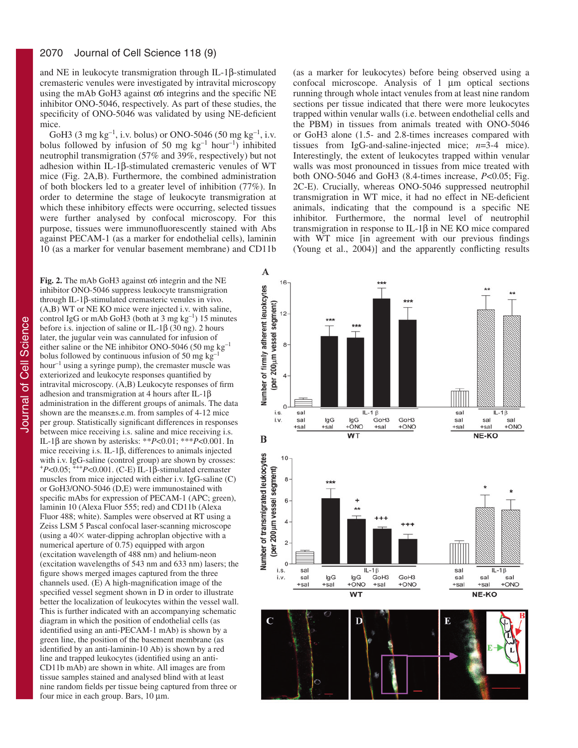and NE in leukocyte transmigration through IL-1β-stimulated cremasteric venules were investigated by intravital microscopy using the mAb GoH3 against  $\alpha$ 6 integrins and the specific NE inhibitor ONO-5046, respectively. As part of these studies, the specificity of ONO-5046 was validated by using NE-deficient mice.

GoH3 (3 mg kg<sup>-1</sup>, i.v. bolus) or ONO-5046 (50 mg kg<sup>-1</sup>, i.v. bolus followed by infusion of 50 mg  $kg^{-1}$  hour<sup>-1</sup>) inhibited neutrophil transmigration (57% and 39%, respectively) but not adhesion within IL-1β-stimulated cremasteric venules of WT mice (Fig. 2A,B). Furthermore, the combined administration of both blockers led to a greater level of inhibition (77%). In order to determine the stage of leukocyte transmigration at which these inhibitory effects were occurring, selected tissues were further analysed by confocal microscopy. For this purpose, tissues were immunofluorescently stained with Abs against PECAM-1 (as a marker for endothelial cells), laminin 10 (as a marker for venular basement membrane) and CD11b

**Fig. 2.** The mAb GoH3 against α6 integrin and the NE inhibitor ONO-5046 suppress leukocyte transmigration through IL-1β-stimulated cremasteric venules in vivo. (A,B) WT or NE KO mice were injected i.v. with saline, control IgG or mAb GoH3 (both at 3 mg  $kg^{-1}$ ) 15 minutes before i.s. injection of saline or IL-1 $\beta$  (30 ng). 2 hours later, the jugular vein was cannulated for infusion of either saline or the NE inhibitor ONO-5046 (50 mg kg–1 bolus followed by continuous infusion of 50 mg kg–1 hour<sup>-1</sup> using a syringe pump), the cremaster muscle was exteriorized and leukocyte responses quantified by intravital microscopy. (A,B) Leukocyte responses of firm adhesion and transmigration at 4 hours after IL-1β administration in the different groups of animals. The data shown are the means±s.e.m. from samples of 4-12 mice per group. Statistically significant differences in responses between mice receiving i.s. saline and mice receiving i.s. IL-1β are shown by asterisks: \*\**P*<0.01; \*\*\**P*<0.001. In mice receiving i.s. IL-1β, differences to animals injected with i.v. IgG-saline (control group) are shown by crosses: <sup>+</sup>*P*<0.05; +++*P*<0.001. (C-E) IL-1β-stimulated cremaster muscles from mice injected with either i.v. IgG-saline (C) or GoH3/ONO-5046 (D,E) were immunostained with specific mAbs for expression of PECAM-1 (APC; green), laminin 10 (Alexa Fluor 555; red) and CD11b (Alexa Fluor 488; white). Samples were observed at RT using a Zeiss LSM 5 Pascal confocal laser-scanning microscope (using a  $40\times$  water-dipping achroplan objective with a numerical aperture of 0.75) equipped with argon (excitation wavelength of 488 nm) and helium-neon (excitation wavelengths of 543 nm and 633 nm) lasers; the figure shows merged images captured from the three channels used. (E) A high-magnification image of the specified vessel segment shown in D in order to illustrate better the localization of leukocytes within the vessel wall. This is further indicated with an accompanying schematic diagram in which the position of endothelial cells (as identified using an anti-PECAM-1 mAb) is shown by a green line, the position of the basement membrane (as identified by an anti-laminin-10 Ab) is shown by a red line and trapped leukocytes (identified using an anti-CD11b mAb) are shown in white. All images are from tissue samples stained and analysed blind with at least nine random fields per tissue being captured from three or four mice in each group. Bars, 10 µm.

(as a marker for leukocytes) before being observed using a confocal microscope. Analysis of 1 µm optical sections running through whole intact venules from at least nine random sections per tissue indicated that there were more leukocytes trapped within venular walls (i.e. between endothelial cells and the PBM) in tissues from animals treated with ONO-5046 or GoH3 alone (1.5- and 2.8-times increases compared with tissues from IgG-and-saline-injected mice; *n*=3-4 mice). Interestingly, the extent of leukocytes trapped within venular walls was most pronounced in tissues from mice treated with both ONO-5046 and GoH3 (8.4-times increase, *P*<0.05; Fig. 2C-E). Crucially, whereas ONO-5046 suppressed neutrophil transmigration in WT mice, it had no effect in NE-deficient animals, indicating that the compound is a specific NE inhibitor. Furthermore, the normal level of neutrophil transmigration in response to IL-1β in NE KO mice compared with WT mice [in agreement with our previous findings (Young et al., 2004)] and the apparently conflicting results

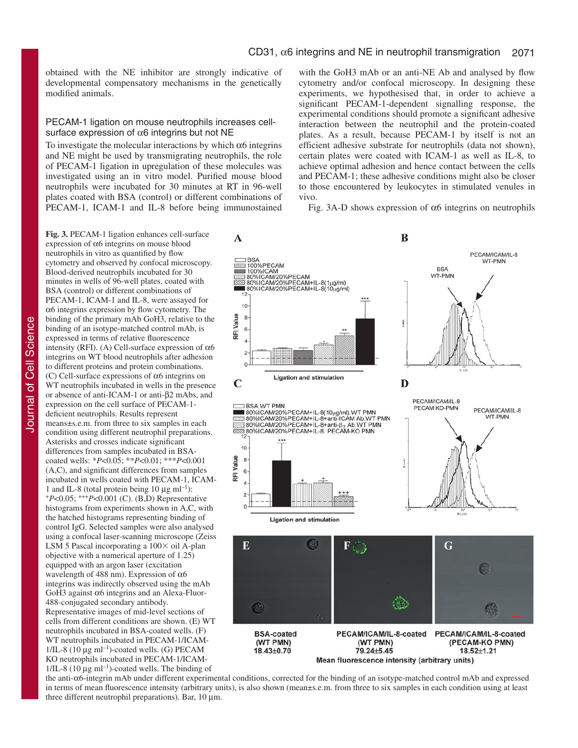obtained with the NE inhibitor are strongly indicative of developmental compensatory mechanisms in the genetically modified animals.

#### PECAM-1 ligation on mouse neutrophils increases cellsurface expression of  $\alpha$ 6 integrins but not NE

To investigate the molecular interactions by which  $\alpha$ 6 integrins and NE might be used by transmigrating neutrophils, the role of PECAM-1 ligation in upregulation of these molecules was investigated using an in vitro model. Purified mouse blood neutrophils were incubated for 30 minutes at RT in 96-well plates coated with BSA (control) or different combinations of PECAM-1, ICAM-1 and IL-8 before being immunostained

Journal of Cell Science Journal of Cell Science **Fig. 3.** PECAM-1 ligation enhances cell-surface expression of α6 integrins on mouse blood neutrophils in vitro as quantified by flow cytometry and observed by confocal microscopy. Blood-derived neutrophils incubated for 30 minutes in wells of 96-well plates, coated with BSA (control) or different combinations of PECAM-1, ICAM-1 and IL-8, were assayed for  $\alpha$ 6 integrins expression by flow cytometry. The binding of the primary mAb GoH3, relative to the binding of an isotype-matched control mAb, is expressed in terms of relative fluorescence intensity (RFI). (A) Cell-surface expression of  $α6$ integrins on WT blood neutrophils after adhesion to different proteins and protein combinations. (C) Cell-surface expressions of  $\alpha$ 6 integrins on WT neutrophils incubated in wells in the presence or absence of anti-ICAM-1 or anti-β2 mAbs, and expression on the cell surface of PECAM-1 deficient neutrophils. Results represent means±s.e.m. from three to six samples in each condition using different neutrophil preparations. Asterisks and crosses indicate significant differences from samples incubated in BSAcoated wells: \**P*<0.05; \*\**P*<0.01; \*\*\**P*<0.001 (A,C), and significant differences from samples incubated in wells coated with PECAM-1, ICAM-<br>1 and IL-8 (total protein being 10  $\mu$ g ml<sup>-1</sup>):  $+P<0.05$ ;  $+P<0.001$  (C). (B,D) Representative histograms from experiments shown in A,C, with the hatched histograms representing binding of control IgG. Selected samples were also analysed using a confocal laser-scanning microscope (Zeiss LSM 5 Pascal incorporating a  $100 \times$  oil A-plan objective with a numerical aperture of 1.25) equipped with an argon laser (excitation wavelength of 488 nm). Expression of α6 integrins was indirectly observed using the mAb GoH3 against α6 integrins and an Alexa-Fluor-488-conjugated secondary antibody. Representative images of mid-level sections of cells from different conditions are shown. (E) WT neutrophils incubated in BSA-coated wells. (F) WT neutrophils incubated in PECAM-1/ICAM- $1/IL-8$  (10 µg ml<sup>-1</sup>)-coated wells. (G) PECAM KO neutrophils incubated in PECAM-1/ICAM- $1/IL-8$  (10  $\mu$ g ml<sup>-1</sup>)-coated wells. The binding of

with the GoH3 mAb or an anti-NE Ab and analysed by flow cytometry and/or confocal microscopy. In designing these experiments, we hypothesised that, in order to achieve a significant PECAM-1-dependent signalling response, the experimental conditions should promote a significant adhesive interaction between the neutrophil and the protein-coated plates. As a result, because PECAM-1 by itself is not an efficient adhesive substrate for neutrophils (data not shown), certain plates were coated with ICAM-1 as well as IL-8, to achieve optimal adhesion and hence contact between the cells and PECAM-1; these adhesive conditions might also be closer to those encountered by leukocytes in stimulated venules in vivo.

Fig. 3A-D shows expression of  $\alpha$ 6 integrins on neutrophils



the anti-α6-integrin mAb under different experimental conditions, corrected for the binding of an isotype-matched control mAb and expressed in terms of mean fluorescence intensity (arbitrary units), is also shown (mean±s.e.m. from three to six samples in each condition using at least three different neutrophil preparations). Bar,  $10 \mu m$ .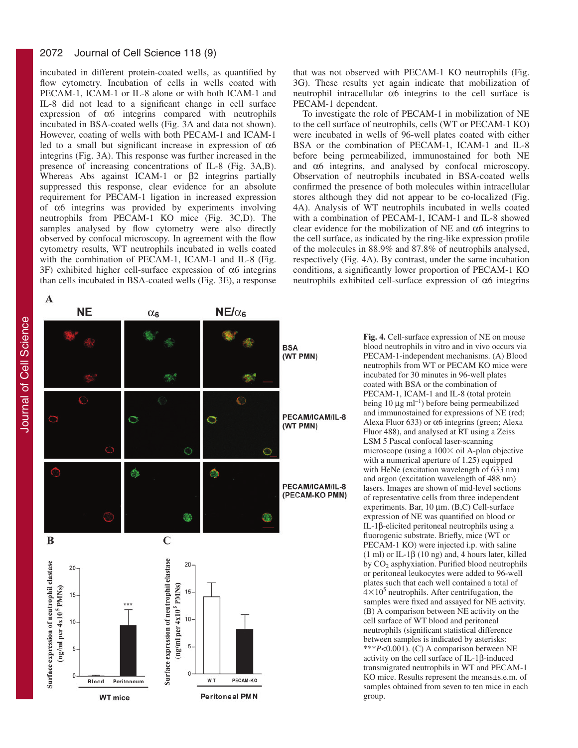#### 2072 Journal of Cell Science 118 (9)

incubated in different protein-coated wells, as quantified by flow cytometry. Incubation of cells in wells coated with PECAM-1, ICAM-1 or IL-8 alone or with both ICAM-1 and IL-8 did not lead to a significant change in cell surface expression of  $\alpha$ 6 integrins compared with neutrophils incubated in BSA-coated wells (Fig. 3A and data not shown). However, coating of wells with both PECAM-1 and ICAM-1 led to a small but significant increase in expression of  $\alpha$ 6 integrins (Fig. 3A). This response was further increased in the presence of increasing concentrations of IL-8 (Fig. 3A,B). Whereas Abs against ICAM-1 or β2 integrins partially suppressed this response, clear evidence for an absolute requirement for PECAM-1 ligation in increased expression of α6 integrins was provided by experiments involving neutrophils from PECAM-1 KO mice (Fig. 3C,D). The samples analysed by flow cytometry were also directly observed by confocal microscopy. In agreement with the flow cytometry results, WT neutrophils incubated in wells coated with the combination of PECAM-1, ICAM-1 and IL-8 (Fig. 3F) exhibited higher cell-surface expression of  $\alpha$ 6 integrins than cells incubated in BSA-coated wells (Fig. 3E), a response

that was not observed with PECAM-1 KO neutrophils (Fig. 3G). These results yet again indicate that mobilization of neutrophil intracellular  $α6$  integrins to the cell surface is PECAM-1 dependent.

To investigate the role of PECAM-1 in mobilization of NE to the cell surface of neutrophils, cells (WT or PECAM-1 KO) were incubated in wells of 96-well plates coated with either BSA or the combination of PECAM-1, ICAM-1 and IL-8 before being permeabilized, immunostained for both NE and α6 integrins, and analysed by confocal microscopy. Observation of neutrophils incubated in BSA-coated wells confirmed the presence of both molecules within intracellular stores although they did not appear to be co-localized (Fig. 4A). Analysis of WT neutrophils incubated in wells coated with a combination of PECAM-1, ICAM-1 and IL-8 showed clear evidence for the mobilization of NE and  $\alpha$ 6 integrins to the cell surface, as indicated by the ring-like expression profile of the molecules in 88.9% and 87.8% of neutrophils analysed, respectively (Fig. 4A). By contrast, under the same incubation conditions, a significantly lower proportion of PECAM-1 KO neutrophils exhibited cell-surface expression of α6 integrins

Journal of Cell Science Journal of Cell Science



**Fig. 4.** Cell-surface expression of NE on mouse blood neutrophils in vitro and in vivo occurs via PECAM-1-independent mechanisms. (A) Blood neutrophils from WT or PECAM KO mice were incubated for 30 minutes in 96-well plates coated with BSA or the combination of PECAM-1, ICAM-1 and IL-8 (total protein being 10  $\mu$ g ml<sup>-1</sup>) before being permeabilized and immunostained for expressions of NE (red; Alexa Fluor 633) or  $\alpha$ 6 integrins (green; Alexa Fluor 488), and analysed at RT using a Zeiss LSM 5 Pascal confocal laser-scanning microscope (using a  $100 \times$  oil A-plan objective with a numerical aperture of 1.25) equipped with HeNe (excitation wavelength of 633 nm) and argon (excitation wavelength of 488 nm) lasers. Images are shown of mid-level sections of representative cells from three independent experiments. Bar, 10 µm. (B,C) Cell-surface expression of NE was quantified on blood or IL-1β-elicited peritoneal neutrophils using a fluorogenic substrate. Briefly, mice (WT or PECAM-1 KO) were injected i.p. with saline (1 ml) or IL-1 $\beta$  (10 ng) and, 4 hours later, killed by  $CO<sub>2</sub>$  asphyxiation. Purified blood neutrophils or peritoneal leukocytes were added to 96-well plates such that each well contained a total of  $4\times10^5$  neutrophils. After centrifugation, the samples were fixed and assayed for NE activity. (B) A comparison between NE activity on the cell surface of WT blood and peritoneal neutrophils (significant statistical difference between samples is indicated by asterisks: \*\*\**P*<0.001). (C) A comparison between NE activity on the cell surface of IL-1β-induced transmigrated neutrophils in WT and PECAM-1 KO mice. Results represent the means±s.e.m. of samples obtained from seven to ten mice in each group.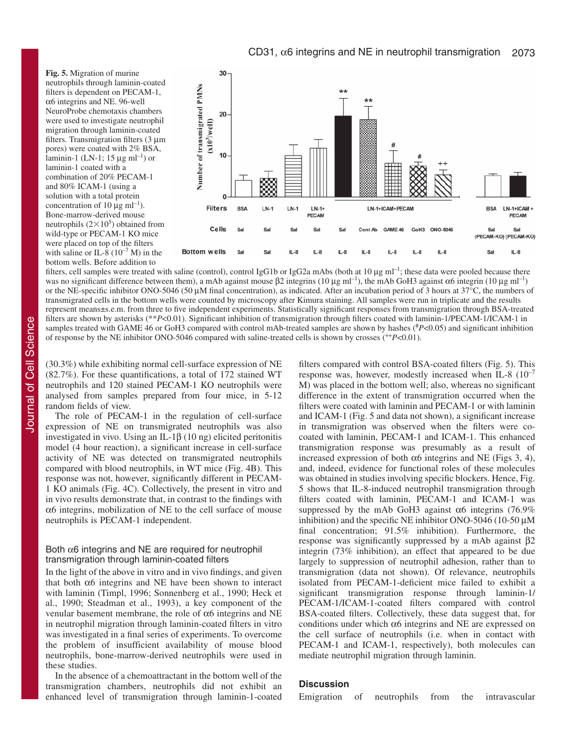**Fig. 5.** Migration of murine neutrophils through laminin-coated filters is dependent on PECAM-1, α6 integrins and NE. 96-well NeuroProbe chemotaxis chambers were used to investigate neutrophil migration through laminin-coated filters. Transmigration filters (3 µm pores) were coated with 2% BSA, laminin-1 (LN-1; 15  $\mu$ g ml<sup>-1</sup>) or laminin-1 coated with a combination of 20% PECAM-1 and 80% ICAM-1 (using a solution with a total protein concentration of 10  $\mu$ g ml<sup>-1</sup>). Bone-marrow-derived mouse neutrophils  $(2\times10^5)$  obtained from wild-type or PECAM-1 KO mice were placed on top of the filters with saline or IL-8  $(10^{-7}$  M) in the bottom wells. Before addition to



filters, cell samples were treated with saline (control), control IgG1b or IgG2a mAbs (both at 10 µg ml<sup>-1</sup>; these data were pooled because there was no significant difference between them), a mAb against mouse  $\beta$ 2 integrins (10 μg ml<sup>-1</sup>), the mAb GoH3 against α6 integrin (10 μg ml<sup>-1</sup>) or the NE-specific inhibitor ONO-5046 (50  $\mu$ M final concentration), as indicated. After an incubation period of 3 hours at 37°C, the numbers of transmigrated cells in the bottom wells were counted by microscopy after Kimura staining. All samples were run in triplicate and the results represent means±s.e.m. from three to five independent experiments. Statistically significant responses from transmigration through BSA-treated filters are shown by asterisks (\*\**P*<0.01). Significant inhibition of transmigration through filters coated with laminin-1/PECAM-1/ICAM-1 in samples treated with GAME 46 or GoH3 compared with control mAb-treated samples are shown by hashes (*#P<*0.05) and significant inhibition of response by the NE inhibitor ONO-5046 compared with saline-treated cells is shown by crosses (++*P*<0.01).

(30.3%) while exhibiting normal cell-surface expression of NE (82.7%). For these quantifications, a total of 172 stained WT neutrophils and 120 stained PECAM-1 KO neutrophils were analysed from samples prepared from four mice, in 5-12 random fields of view.

The role of PECAM-1 in the regulation of cell-surface expression of NE on transmigrated neutrophils was also investigated in vivo. Using an IL-1β (10 ng) elicited peritonitis model (4 hour reaction), a significant increase in cell-surface activity of NE was detected on transmigrated neutrophils compared with blood neutrophils, in WT mice (Fig. 4B). This response was not, however, significantly different in PECAM-1 KO animals (Fig. 4C). Collectively, the present in vitro and in vivo results demonstrate that, in contrast to the findings with α6 integrins, mobilization of NE to the cell surface of mouse neutrophils is PECAM-1 independent.

## Both  $\alpha$ 6 integrins and NE are required for neutrophil transmigration through laminin-coated filters

In the light of the above in vitro and in vivo findings, and given that both  $α6$  integrins and NE have been shown to interact with laminin (Timpl, 1996; Sonnenberg et al., 1990; Heck et al., 1990; Steadman et al., 1993), a key component of the venular basement membrane, the role of α6 integrins and NE in neutrophil migration through laminin-coated filters in vitro was investigated in a final series of experiments. To overcome the problem of insufficient availability of mouse blood neutrophils, bone-marrow-derived neutrophils were used in these studies.

In the absence of a chemoattractant in the bottom well of the transmigration chambers, neutrophils did not exhibit an enhanced level of transmigration through laminin-1-coated filters compared with control BSA-coated filters (Fig. 5). This response was, however, modestly increased when IL-8  $(10^{-7})$ M) was placed in the bottom well; also, whereas no significant difference in the extent of transmigration occurred when the filters were coated with laminin and PECAM-1 or with laminin and ICAM-1 (Fig. 5 and data not shown), a significant increase in transmigration was observed when the filters were cocoated with laminin, PECAM-1 and ICAM-1. This enhanced transmigration response was presumably as a result of increased expression of both  $\alpha$ 6 integrins and NE (Figs 3, 4), and, indeed, evidence for functional roles of these molecules was obtained in studies involving specific blockers. Hence, Fig. 5 shows that IL-8-induced neutrophil transmigration through filters coated with laminin, PECAM-1 and ICAM-1 was suppressed by the mAb GoH3 against  $\alpha$ 6 integrins (76.9%) inhibition) and the specific NE inhibitor ONO-5046 (10-50  $\mu$ M final concentration; 91.5% inhibition). Furthermore, the response was significantly suppressed by a mAb against β2 integrin (73% inhibition), an effect that appeared to be due largely to suppression of neutrophil adhesion, rather than to transmigration (data not shown). Of relevance, neutrophils isolated from PECAM-1-deficient mice failed to exhibit a significant transmigration response through laminin-1/ PECAM-1/ICAM-1-coated filters compared with control BSA-coated filters. Collectively, these data suggest that, for conditions under which  $\alpha$ 6 integrins and NE are expressed on the cell surface of neutrophils (i.e. when in contact with PECAM-1 and ICAM-1, respectively), both molecules can mediate neutrophil migration through laminin.

# **Discussion**

Emigration of neutrophils from the intravascular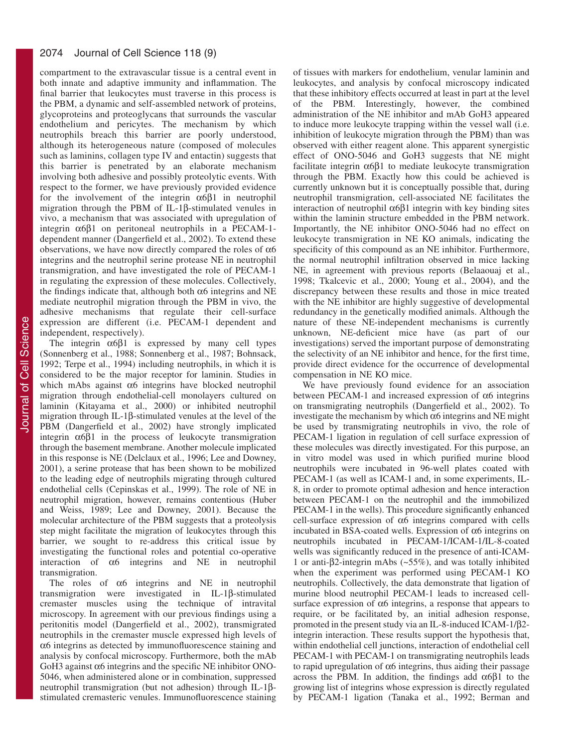compartment to the extravascular tissue is a central event in both innate and adaptive immunity and inflammation. The final barrier that leukocytes must traverse in this process is the PBM, a dynamic and self-assembled network of proteins, glycoproteins and proteoglycans that surrounds the vascular endothelium and pericytes. The mechanism by which neutrophils breach this barrier are poorly understood, although its heterogeneous nature (composed of molecules such as laminins, collagen type IV and entactin) suggests that this barrier is penetrated by an elaborate mechanism involving both adhesive and possibly proteolytic events. With respect to the former, we have previously provided evidence for the involvement of the integrin  $\alpha 6\beta 1$  in neutrophil migration through the PBM of IL-1β-stimulated venules in vivo, a mechanism that was associated with upregulation of integrin  $α6β1$  on peritoneal neutrophils in a PECAM-1dependent manner (Dangerfield et al., 2002). To extend these observations, we have now directly compared the roles of  $\alpha$ 6 integrins and the neutrophil serine protease NE in neutrophil transmigration, and have investigated the role of PECAM-1 in regulating the expression of these molecules. Collectively, the findings indicate that, although both  $\alpha$ 6 integrins and NE mediate neutrophil migration through the PBM in vivo, the adhesive mechanisms that regulate their cell-surface expression are different (i.e. PECAM-1 dependent and independent, respectively).

The integrin  $\alpha$ 6 $\beta$ 1 is expressed by many cell types (Sonnenberg et al., 1988; Sonnenberg et al., 1987; Bohnsack, 1992; Terpe et al., 1994) including neutrophils, in which it is considered to be the major receptor for laminin. Studies in which mAbs against α6 integrins have blocked neutrophil migration through endothelial-cell monolayers cultured on laminin (Kitayama et al., 2000) or inhibited neutrophil migration through IL-1β-stimulated venules at the level of the PBM (Dangerfield et al., 2002) have strongly implicated integrin  $\alpha$ 6β1 in the process of leukocyte transmigration through the basement membrane. Another molecule implicated in this response is NE (Delclaux et al., 1996; Lee and Downey, 2001), a serine protease that has been shown to be mobilized to the leading edge of neutrophils migrating through cultured endothelial cells (Cepinskas et al., 1999). The role of NE in neutrophil migration, however, remains contentious (Huber and Weiss, 1989; Lee and Downey, 2001). Because the molecular architecture of the PBM suggests that a proteolysis step might facilitate the migration of leukocytes through this barrier, we sought to re-address this critical issue by investigating the functional roles and potential co-operative interaction of  $\alpha$ 6 integrins and NE in neutrophil transmigration.

The roles of  $\alpha$ 6 integrins and NE in neutrophil transmigration were investigated in IL-1β-stimulated cremaster muscles using the technique of intravital microscopy. In agreement with our previous findings using a peritonitis model (Dangerfield et al., 2002), transmigrated neutrophils in the cremaster muscle expressed high levels of α6 integrins as detected by immunofluorescence staining and analysis by confocal microscopy. Furthermore, both the mAb GoH3 against  $\alpha$ 6 integrins and the specific NE inhibitor ONO-5046, when administered alone or in combination, suppressed neutrophil transmigration (but not adhesion) through IL-1βstimulated cremasteric venules. Immunofluorescence staining

of tissues with markers for endothelium, venular laminin and leukocytes, and analysis by confocal microscopy indicated that these inhibitory effects occurred at least in part at the level of the PBM. Interestingly, however, the combined administration of the NE inhibitor and mAb GoH3 appeared to induce more leukocyte trapping within the vessel wall (i.e. inhibition of leukocyte migration through the PBM) than was observed with either reagent alone. This apparent synergistic effect of ONO-5046 and GoH3 suggests that NE might facilitate integrin α6β1 to mediate leukocyte transmigration through the PBM. Exactly how this could be achieved is currently unknown but it is conceptually possible that, during neutrophil transmigration, cell-associated NE facilitates the interaction of neutrophil α6β1 integrin with key binding sites within the laminin structure embedded in the PBM network. Importantly, the NE inhibitor ONO-5046 had no effect on leukocyte transmigration in NE KO animals, indicating the specificity of this compound as an NE inhibitor. Furthermore, the normal neutrophil infiltration observed in mice lacking NE, in agreement with previous reports (Belaaouaj et al., 1998; Tkalcevic et al., 2000; Young et al., 2004), and the discrepancy between these results and those in mice treated with the NE inhibitor are highly suggestive of developmental redundancy in the genetically modified animals. Although the nature of these NE-independent mechanisms is currently unknown, NE-deficient mice have (as part of our investigations) served the important purpose of demonstrating the selectivity of an NE inhibitor and hence, for the first time, provide direct evidence for the occurrence of developmental compensation in NE KO mice.

We have previously found evidence for an association between PECAM-1 and increased expression of  $\alpha$ 6 integrins on transmigrating neutrophils (Dangerfield et al., 2002). To investigate the mechanism by which  $\alpha$ 6 integrins and NE might be used by transmigrating neutrophils in vivo, the role of PECAM-1 ligation in regulation of cell surface expression of these molecules was directly investigated. For this purpose, an in vitro model was used in which purified murine blood neutrophils were incubated in 96-well plates coated with PECAM-1 (as well as ICAM-1 and, in some experiments, IL-8, in order to promote optimal adhesion and hence interaction between PECAM-1 on the neutrophil and the immobilized PECAM-1 in the wells). This procedure significantly enhanced cell-surface expression of α6 integrins compared with cells incubated in BSA-coated wells. Expression of  $\alpha$ 6 integrins on neutrophils incubated in PECAM-1/ICAM-1/IL-8-coated wells was significantly reduced in the presence of anti-ICAM-1 or anti-β2-integrin mAbs (~55%), and was totally inhibited when the experiment was performed using PECAM-1 KO neutrophils. Collectively, the data demonstrate that ligation of murine blood neutrophil PECAM-1 leads to increased cellsurface expression of α6 integrins, a response that appears to require, or be facilitated by, an initial adhesion response, promoted in the present study via an IL-8-induced ICAM-1/β2 integrin interaction. These results support the hypothesis that, within endothelial cell junctions, interaction of endothelial cell PECAM-1 with PECAM-1 on transmigrating neutrophils leads to rapid upregulation of  $\alpha$ 6 integrins, thus aiding their passage across the PBM. In addition, the findings add  $α6β1$  to the growing list of integrins whose expression is directly regulated by PECAM-1 ligation (Tanaka et al., 1992; Berman and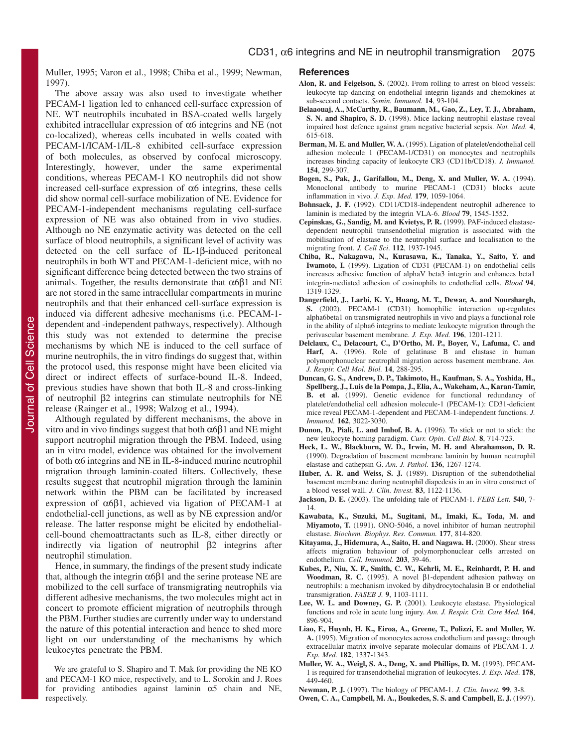Muller, 1995; Varon et al., 1998; Chiba et al., 1999; Newman, 1997).

The above assay was also used to investigate whether PECAM-1 ligation led to enhanced cell-surface expression of NE. WT neutrophils incubated in BSA-coated wells largely exhibited intracellular expression of α6 integrins and NE (not co-localized), whereas cells incubated in wells coated with PECAM-1/ICAM-1/IL-8 exhibited cell-surface expression of both molecules, as observed by confocal microscopy. Interestingly, however, under the same experimental conditions, whereas PECAM-1 KO neutrophils did not show increased cell-surface expression of  $\alpha$ 6 integrins, these cells did show normal cell-surface mobilization of NE. Evidence for PECAM-1-independent mechanisms regulating cell-surface expression of NE was also obtained from in vivo studies. Although no NE enzymatic activity was detected on the cell surface of blood neutrophils, a significant level of activity was detected on the cell surface of IL-1β-induced peritoneal neutrophils in both WT and PECAM-1-deficient mice, with no significant difference being detected between the two strains of animals. Together, the results demonstrate that  $\alpha$ 6 $\beta$ 1 and NE are not stored in the same intracellular compartments in murine neutrophils and that their enhanced cell-surface expression is induced via different adhesive mechanisms (i.e. PECAM-1 dependent and -independent pathways, respectively). Although this study was not extended to determine the precise mechanisms by which NE is induced to the cell surface of murine neutrophils, the in vitro findings do suggest that, within the protocol used, this response might have been elicited via direct or indirect effects of surface-bound IL-8. Indeed, previous studies have shown that both IL-8 and cross-linking of neutrophil β2 integrins can stimulate neutrophils for NE release (Rainger et al., 1998; Walzog et al., 1994).

Although regulated by different mechanisms, the above in vitro and in vivo findings suggest that both α6β1 and NE might support neutrophil migration through the PBM. Indeed, using an in vitro model, evidence was obtained for the involvement of both α6 integrins and NE in IL-8-induced murine neutrophil migration through laminin-coated filters. Collectively, these results suggest that neutrophil migration through the laminin network within the PBM can be facilitated by increased expression of α6β1, achieved via ligation of PECAM-1 at endothelial-cell junctions, as well as by NE expression and/or release. The latter response might be elicited by endothelialcell-bound chemoattractants such as IL-8, either directly or indirectly via ligation of neutrophil β2 integrins after neutrophil stimulation.

Hence, in summary, the findings of the present study indicate that, although the integrin  $α6β1$  and the serine protease NE are mobilized to the cell surface of transmigrating neutrophils via different adhesive mechanisms, the two molecules might act in concert to promote efficient migration of neutrophils through the PBM. Further studies are currently under way to understand the nature of this potential interaction and hence to shed more light on our understanding of the mechanisms by which leukocytes penetrate the PBM.

#### **References**

- Alon, R. and Feigelson, S. (2002). From rolling to arrest on blood vessels: leukocyte tap dancing on endothelial integrin ligands and chemokines at sub-second contacts. *Semin. Immunol.* **14**, 93-104.
- **Belaaouaj, A., McCarthy, R., Baumann, M., Gao, Z., Ley, T. J., Abraham, S. N. and Shapiro, S. D.** (1998). Mice lacking neutrophil elastase reveal impaired host defence against gram negative bacterial sepsis. *Nat. Med.* **4**, 615-618.
- **Berman, M. E. and Muller, W. A.** (1995). Ligation of platelet/endothelial cell adhesion molecule 1 (PECAM-1/CD31) on monocytes and neutrophils increases binding capacity of leukocyte CR3 (CD11b/CD18). *J. Immunol.* **154**, 299-307.
- **Bogen, S., Pak, J., Garifallou, M., Deng, X. and Muller, W. A.** (1994). Monoclonal antibody to murine PECAM-1 (CD31) blocks acute inflammation in vivo. *J. Exp. Med.* **179**, 1059-1064.
- **Bohnsack, J. F.** (1992). CD11/CD18-independent neutrophil adherence to laminin is mediated by the integrin VLA-6. *Blood* **79**, 1545-1552.
- **Cepinskas, G., Sandig, M. and Kvietys, P. R.** (1999). PAF-induced elastasedependent neutrophil transendothelial migration is associated with the mobilisation of elastase to the neutrophil surface and localisation to the migrating front. *J. Cell Sci*. **112**, 1937-1945.
- **Chiba, R., Nakagawa, N., Kurasawa, K., Tanaka, Y., Saito, Y. and Iwamoto, I.** (1999). Ligation of CD31 (PECAM-1) on endothelial cells increases adhesive function of alphaV beta3 integrin and enhances beta1 integrin-mediated adhesion of eosinophils to endothelial cells. *Blood* **94**, 1319-1329.
- **Dangerfield, J., Larbi, K. Y., Huang, M. T., Dewar, A. and Nourshargh, S.** (2002). PECAM-1 (CD31) homophilic interaction up-regulates alpha6beta1 on transmigrated neutrophils in vivo and plays a functional role in the ability of alpha6 integrins to mediate leukocyte migration through the perivascular basement membrane. *J. Exp. Med.* **196**, 1201-1211.
- **Delclaux, C., Delacourt, C., D'Ortho, M. P., Boyer, V., Lafuma, C. and** Harf, A. (1996). Role of gelatinase B and elastase in human polymorphonuclear neutrophil migration across basement membrane. *Am. J. Respir. Cell Mol. Biol.* **14**, 288-295.
- **Duncan, G. S., Andrew, D. P., Takimoto, H., Kaufman, S. A., Yoshida, H., Spellberg, J., Luis de la Pompa, J., Elia, A., Wakeham, A., Karan-Tamir, B. et al.** (1999). Genetic evidence for functional redundancy of platelet/endothelial cell adhesion molecule-1 (PECAM-1): CD31-deficient mice reveal PECAM-1-dependent and PECAM-1-independent functions. *J. Immunol.* **162**, 3022-3030.
- **Dunon, D., Piali, L. and Imhof, B. A.** (1996). To stick or not to stick: the new leukocyte homing paradigm. *Curr. Opin. Cell Biol*. **8**, 714-723.
- **Heck, L. W., Blackburn, W. D., Irwin, M. H. and Abrahamson, D. R.** (1990). Degradation of basement membrane laminin by human neutrophil elastase and cathepsin G. *Am. J. Pathol.* **136**, 1267-1274.
- Huber, A. R. and Weiss, S. J. (1989). Disruption of the subendothelial basement membrane during neutrophil diapedesis in an in vitro construct of a blood vessel wall. *J. Clin. Invest.* **83**, 1122-1136.
- **Jackson, D. E.** (2003). The unfolding tale of PECAM-1. *FEBS Lett.* **540**, 7- 14.
- **Kawabata, K., Suzuki, M., Sugitani, M., Imaki, K., Toda, M. and Miyamoto, T.** (1991). ONO-5046, a novel inhibitor of human neutrophil elastase. *Biochem. Biophys. Res. Commun.* **177**, 814-820.
- **Kitayama, J., Hidemura, A., Saito, H. and Nagawa. H.** (2000). Shear stress affects migration behaviour of polymorphonuclear cells arrested on endothelium. *Cell. Immunol.* **203**, 39-46.
- **Kubes, P., Niu, X. F., Smith, C. W., Kehrli, M. E., Reinhardt, P. H. and Woodman, R. C.** (1995). A novel β1-dependent adhesion pathway on neutrophils: a mechanism invoked by dihydrocytochalasin B or endothelial transmigration. *FASEB J.* **9**, 1103-1111.
- **Lee, W. L. and Downey, G. P.** (2001). Leukocyte elastase. Physiological functions and role in acute lung injury. *Am. J. Respir. Crit. Care Med.* **164**, 896-904.
- **Liao, F., Huynh, H. K., Eiroa, A., Greene, T., Polizzi, E. and Muller, W. A.** (1995). Migration of monocytes across endothelium and passage through extracellular matrix involve separate molecular domains of PECAM-1. *J. Exp. Med.* **182**, 1337-1343.
- **Muller, W. A., Weigl, S. A., Deng, X. and Phillips, D. M.** (1993). PECAM-1 is required for transendothelial migration of leukocytes. *J. Exp. Med*. **178**, 449-460.
- **Newman, P. J.** (1997). The biology of PECAM-1. *J. Clin. Invest.* **99**, 3-8.
- **Owen, C. A., Campbell, M. A., Boukedes, S. S. and Campbell, E. J.** (1997).

We are grateful to S. Shapiro and T. Mak for providing the NE KO and PECAM-1 KO mice, respectively, and to L. Sorokin and J. Roes for providing antibodies against laminin  $\alpha$ 5 chain and NE, respectively.